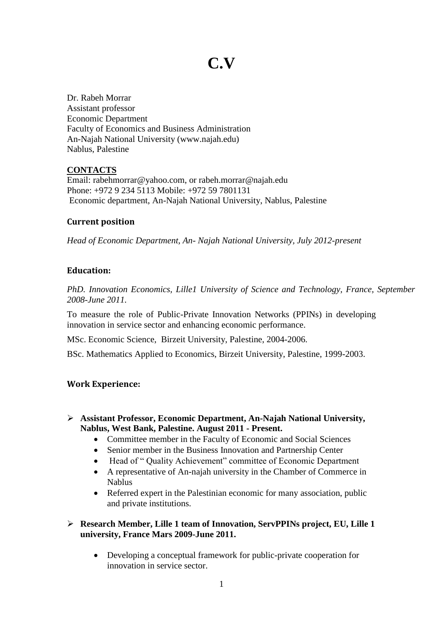# **C.V**

Dr. Rabeh Morrar Assistant professor Economic Department Faculty of Economics and Business Administration An-Najah National University (www.najah.edu) Nablus, Palestine

# **CONTACTS**

Email: rabehmorrar@yahoo.com, or rabeh.morrar@najah.edu Phone: +972 9 234 5113 Mobile: +972 59 7801131 Economic department, An-Najah National University, Nablus, Palestine

# **Current position**

*Head of Economic Department, An- Najah National University, July 2012-present*

# **Education:**

*PhD. Innovation Economics, Lille1 University of Science and Technology, France, September 2008-June 2011.*

To measure the role of Public-Private Innovation Networks (PPINs) in developing innovation in service sector and enhancing economic performance.

MSc. Economic Science, Birzeit University, Palestine, 2004-2006.

BSc. Mathematics Applied to Economics, Birzeit University, Palestine, 1999-2003.

# **Work Experience:**

- **Assistant Professor, Economic Department, An-Najah National University, Nablus, West Bank, Palestine. August 2011 - Present.** 
	- Committee member in the Faculty of Economic and Social Sciences
	- Senior member in the Business Innovation and Partnership Center
	- Head of " Quality Achievement" committee of Economic Department
	- A representative of An-najah university in the Chamber of Commerce in Nablus
	- Referred expert in the Palestinian economic for many association, public and private institutions.

# **Research Member, Lille 1 team of Innovation, ServPPINs project, EU, Lille 1 university, France Mars 2009-June 2011.**

 Developing a conceptual framework for public-private cooperation for innovation in service sector.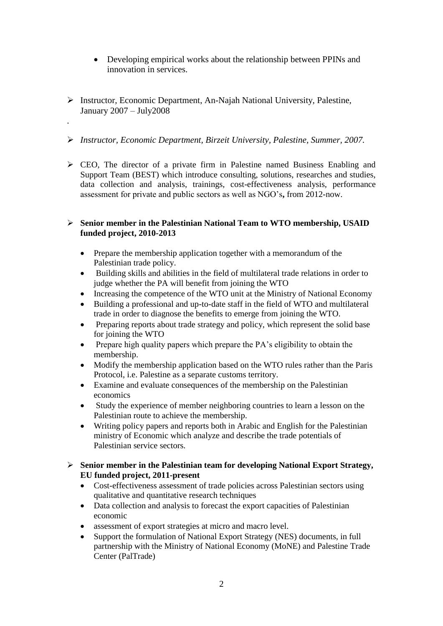- Developing empirical works about the relationship between PPINs and innovation in services.
- Instructor, Economic Department, An-Najah National University, Palestine, January 2007 – July2008

.

- *Instructor, Economic Department, Birzeit University, Palestine, Summer, 2007.*
- $\triangleright$  CEO, The director of a private firm in Palestine named Business Enabling and Support Team (BEST) which introduce consulting, solutions, researches and studies, data collection and analysis, trainings, cost-effectiveness analysis, performance assessment for private and public sectors as well as NGO's**,** from 2012-now.

## **Senior member in the Palestinian National Team to WTO membership, USAID funded project, 2010-2013**

- Prepare the membership application together with a memorandum of the Palestinian trade policy.
- Building skills and abilities in the field of multilateral trade relations in order to judge whether the PA will benefit from joining the WTO
- Increasing the competence of the WTO unit at the Ministry of National Economy
- Building a professional and up-to-date staff in the field of WTO and multilateral trade in order to diagnose the benefits to emerge from joining the WTO.
- Preparing reports about trade strategy and policy, which represent the solid base for joining the WTO
- Prepare high quality papers which prepare the PA's eligibility to obtain the membership.
- Modify the membership application based on the WTO rules rather than the Paris Protocol, i.e. Palestine as a separate customs territory.
- Examine and evaluate consequences of the membership on the Palestinian economics
- Study the experience of member neighboring countries to learn a lesson on the Palestinian route to achieve the membership.
- Writing policy papers and reports both in Arabic and English for the Palestinian ministry of Economic which analyze and describe the trade potentials of Palestinian service sectors.

## **Senior member in the Palestinian team for developing National Export Strategy, EU funded project, 2011-present**

- Cost-effectiveness assessment of trade policies across Palestinian sectors using qualitative and quantitative research techniques
- Data collection and analysis to forecast the export capacities of Palestinian economic
- assessment of export strategies at micro and macro level.
- Support the formulation of National Export Strategy (NES) documents, in full partnership with the Ministry of National Economy (MoNE) and Palestine Trade Center (PalTrade)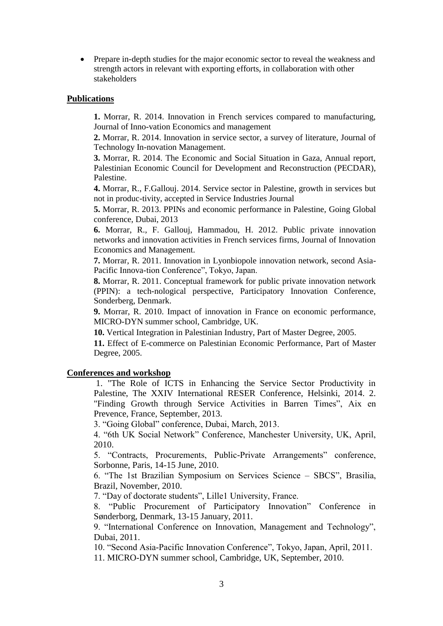• Prepare in-depth studies for the major economic sector to reveal the weakness and strength actors in relevant with exporting efforts, in collaboration with other stakeholders

#### **Publications**

**1.** Morrar, R. 2014. Innovation in French services compared to manufacturing, Journal of Inno-vation Economics and management

**2.** Morrar, R. 2014. Innovation in service sector, a survey of literature, Journal of Technology In-novation Management.

**3.** Morrar, R. 2014. The Economic and Social Situation in Gaza, Annual report, Palestinian Economic Council for Development and Reconstruction (PECDAR), Palestine.

**4.** Morrar, R., F.Gallouj. 2014. Service sector in Palestine, growth in services but not in produc-tivity, accepted in Service Industries Journal

**5.** Morrar, R. 2013. PPINs and economic performance in Palestine, Going Global conference, Dubai, 2013

**6.** Morrar, R., F. Gallouj, Hammadou, H. 2012. Public private innovation networks and innovation activities in French services firms, Journal of Innovation Economics and Management.

**7.** Morrar, R. 2011. Innovation in Lyonbiopole innovation network, second Asia-Pacific Innova-tion Conference", Tokyo, Japan.

**8.** Morrar, R. 2011. Conceptual framework for public private innovation network (PPIN): a tech-nological perspective, Participatory Innovation Conference, Sonderberg, Denmark.

**9.** Morrar, R. 2010. Impact of innovation in France on economic performance, MICRO-DYN summer school, Cambridge, UK.

**10.** Vertical Integration in Palestinian Industry, Part of Master Degree, 2005.

**11.** Effect of E-commerce on Palestinian Economic Performance, Part of Master Degree, 2005.

#### **Conferences and workshop**

1. "The Role of ICTS in Enhancing the Service Sector Productivity in Palestine, The XXIV International RESER Conference, Helsinki, 2014. 2. "Finding Growth through Service Activities in Barren Times", Aix en Prevence, France, September, 2013.

3. "Going Global" conference, Dubai, March, 2013.

4. "6th UK Social Network" Conference, Manchester University, UK, April, 2010.

5. "Contracts, Procurements, Public-Private Arrangements" conference, Sorbonne, Paris, 14-15 June, 2010.

6. "The 1st Brazilian Symposium on Services Science – SBCS", Brasilia, Brazil, November, 2010.

7. "Day of doctorate students", Lille1 University, France.

8. "Public Procurement of Participatory Innovation" Conference in Sønderborg, Denmark, 13-15 January, 2011.

9. "International Conference on Innovation, Management and Technology", Dubai, 2011.

10. "Second Asia-Pacific Innovation Conference", Tokyo, Japan, April, 2011.

11. MICRO-DYN summer school, Cambridge, UK, September, 2010.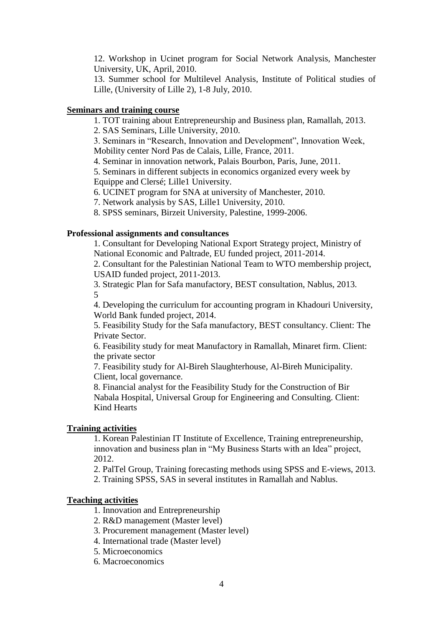12. Workshop in Ucinet program for Social Network Analysis, Manchester University, UK, April, 2010.

13. Summer school for Multilevel Analysis, Institute of Political studies of Lille, (University of Lille 2), 1-8 July, 2010.

# **Seminars and training course**

1. TOT training about Entrepreneurship and Business plan, Ramallah, 2013. 2. SAS Seminars, Lille University, 2010.

3. Seminars in "Research, Innovation and Development", Innovation Week, Mobility center Nord Pas de Calais, Lille, France, 2011.

4. Seminar in innovation network, Palais Bourbon, Paris, June, 2011.

5. Seminars in different subjects in economics organized every week by Equippe and Clersé; Lille1 University.

6. UCINET program for SNA at university of Manchester, 2010.

7. Network analysis by SAS, Lille1 University, 2010.

8. SPSS seminars, Birzeit University, Palestine, 1999-2006.

# **Professional assignments and consultances**

1. Consultant for Developing National Export Strategy project, Ministry of National Economic and Paltrade, EU funded project, 2011-2014.

2. Consultant for the Palestinian National Team to WTO membership project, USAID funded project, 2011-2013.

3. Strategic Plan for Safa manufactory, BEST consultation, Nablus, 2013. 5

4. Developing the curriculum for accounting program in Khadouri University, World Bank funded project, 2014.

5. Feasibility Study for the Safa manufactory, BEST consultancy. Client: The Private Sector.

6. Feasibility study for meat Manufactory in Ramallah, Minaret firm. Client: the private sector

7. Feasibility study for Al-Bireh Slaughterhouse, Al-Bireh Municipality. Client, local governance.

8. Financial analyst for the Feasibility Study for the Construction of Bir Nabala Hospital, Universal Group for Engineering and Consulting. Client: Kind Hearts

## **Training activities**

1. Korean Palestinian IT Institute of Excellence, Training entrepreneurship, innovation and business plan in "My Business Starts with an Idea" project, 2012.

2. PalTel Group, Training forecasting methods using SPSS and E-views, 2013.

2. Training SPSS, SAS in several institutes in Ramallah and Nablus.

## **Teaching activities**

- 1. Innovation and Entrepreneurship
- 2. R&D management (Master level)
- 3. Procurement management (Master level)
- 4. International trade (Master level)
- 5. Microeconomics
- 6. Macroeconomics